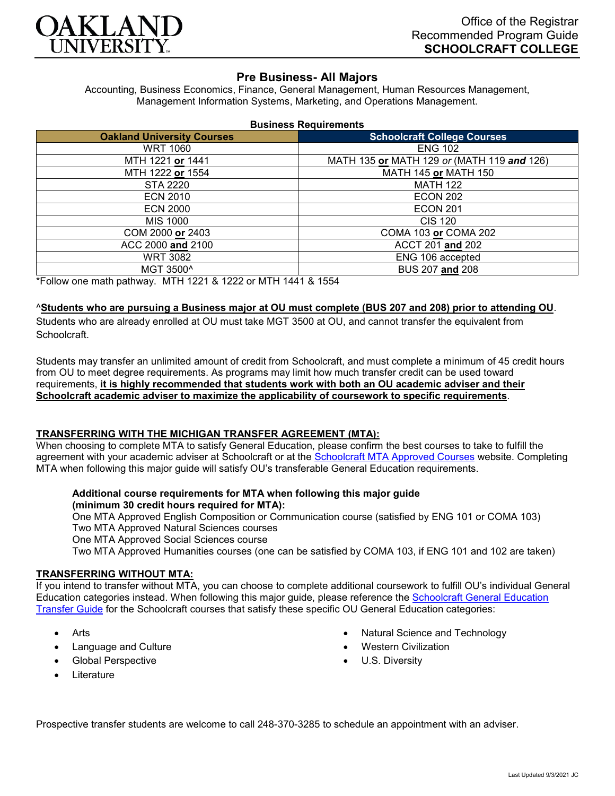

# **Pre Business- All Majors**

Accounting, Business Economics, Finance, General Management, Human Resources Management, Management Information Systems, Marketing, and Operations Management.

| <b>Business Requirements</b> |  |  |
|------------------------------|--|--|
|------------------------------|--|--|

| <b>Oakland University Courses</b> | <b>Schoolcraft College Courses</b>         |  |
|-----------------------------------|--------------------------------------------|--|
| <b>WRT 1060</b>                   | <b>ENG 102</b>                             |  |
| MTH 1221 or 1441                  | MATH 135 or MATH 129 or (MATH 119 and 126) |  |
| MTH 1222 or 1554                  | <b>MATH 145 or MATH 150</b>                |  |
| STA 2220                          | <b>MATH 122</b>                            |  |
| <b>ECN 2010</b>                   | <b>ECON 202</b>                            |  |
| <b>ECN 2000</b>                   | <b>ECON 201</b>                            |  |
| MIS 1000                          | <b>CIS 120</b>                             |  |
| COM 2000 or 2403                  | COMA 103 or COMA 202                       |  |
| ACC 2000 and 2100                 | ACCT 201 and 202                           |  |
| <b>WRT 3082</b>                   | ENG 106 accepted                           |  |
| MGT 3500^                         | BUS 207 and 208                            |  |

\*Follow one math pathway. MTH 1221 & 1222 or MTH 1441 & 1554

#### ^**Students who are pursuing a Business major at OU must complete (BUS 207 and 208) prior to attending OU**.

Students who are already enrolled at OU must take MGT 3500 at OU, and cannot transfer the equivalent from **Schoolcraft** 

Students may transfer an unlimited amount of credit from Schoolcraft, and must complete a minimum of 45 credit hours from OU to meet degree requirements. As programs may limit how much transfer credit can be used toward requirements, **it is highly recommended that students work with both an OU academic adviser and their Schoolcraft academic adviser to maximize the applicability of coursework to specific requirements**.

# **TRANSFERRING WITH THE MICHIGAN TRANSFER AGREEMENT (MTA):**

When choosing to complete MTA to satisfy General Education, please confirm the best courses to take to fulfill the agreement with your academic adviser at Schoolcraft or at the [Schoolcraft MTA Approved Courses](https://www.schoolcraft.edu/academics/michigan-transfer-agreement) website. Completing MTA when following this major guide will satisfy OU's transferable General Education requirements.

## **Additional course requirements for MTA when following this major guide (minimum 30 credit hours required for MTA):**

One MTA Approved English Composition or Communication course (satisfied by ENG 101 or COMA 103) Two MTA Approved Natural Sciences courses One MTA Approved Social Sciences course

Two MTA Approved Humanities courses (one can be satisfied by COMA 103, if ENG 101 and 102 are taken)

#### **TRANSFERRING WITHOUT MTA:**

If you intend to transfer without MTA, you can choose to complete additional coursework to fulfill OU's individual General Education categories instead. When following this major guide, please reference the [Schoolcraft General Education](https://www.oakland.edu/Assets/Oakland/program-guides/schoolcraft-college/university-general-education-requirements/Schoolcraft%20Gen%20Ed.pdf)  [Transfer Guide](https://www.oakland.edu/Assets/Oakland/program-guides/schoolcraft-college/university-general-education-requirements/Schoolcraft%20Gen%20Ed.pdf) for the Schoolcraft courses that satisfy these specific OU General Education categories:

- Arts
- Language and Culture
- Global Perspective
- Natural Science and Technology
- Western Civilization
- U.S. Diversity

**Literature** 

Prospective transfer students are welcome to call 248-370-3285 to schedule an appointment with an adviser.